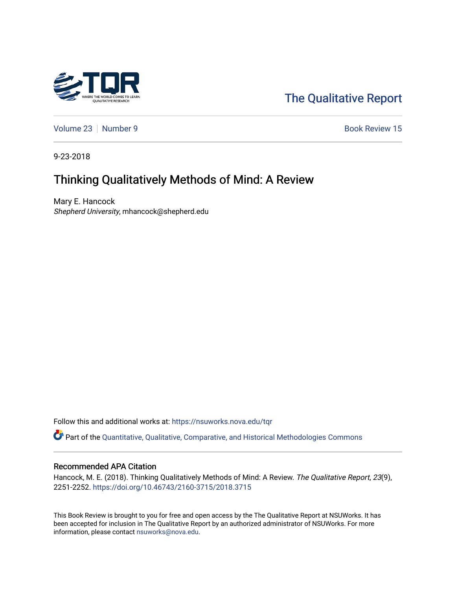

# [The Qualitative Report](https://nsuworks.nova.edu/tqr)

[Volume 23](https://nsuworks.nova.edu/tqr/vol23) [Number 9](https://nsuworks.nova.edu/tqr/vol23/iss9) Book Review 15

9-23-2018

# Thinking Qualitatively Methods of Mind: A Review

Mary E. Hancock Shepherd University, mhancock@shepherd.edu

Follow this and additional works at: [https://nsuworks.nova.edu/tqr](https://nsuworks.nova.edu/tqr?utm_source=nsuworks.nova.edu%2Ftqr%2Fvol23%2Fiss9%2F15&utm_medium=PDF&utm_campaign=PDFCoverPages) 

Part of the [Quantitative, Qualitative, Comparative, and Historical Methodologies Commons](http://network.bepress.com/hgg/discipline/423?utm_source=nsuworks.nova.edu%2Ftqr%2Fvol23%2Fiss9%2F15&utm_medium=PDF&utm_campaign=PDFCoverPages) 

### Recommended APA Citation

Hancock, M. E. (2018). Thinking Qualitatively Methods of Mind: A Review. The Qualitative Report, 23(9), 2251-2252. <https://doi.org/10.46743/2160-3715/2018.3715>

This Book Review is brought to you for free and open access by the The Qualitative Report at NSUWorks. It has been accepted for inclusion in The Qualitative Report by an authorized administrator of NSUWorks. For more information, please contact [nsuworks@nova.edu.](mailto:nsuworks@nova.edu)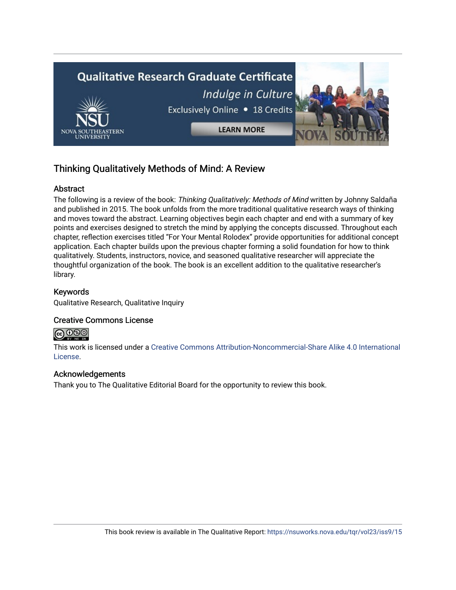

## Thinking Qualitatively Methods of Mind: A Review

## Abstract

The following is a review of the book: Thinking Qualitatively: Methods of Mind written by Johnny Saldaña and published in 2015. The book unfolds from the more traditional qualitative research ways of thinking and moves toward the abstract. Learning objectives begin each chapter and end with a summary of key points and exercises designed to stretch the mind by applying the concepts discussed. Throughout each chapter, reflection exercises titled "For Your Mental Rolodex" provide opportunities for additional concept application. Each chapter builds upon the previous chapter forming a solid foundation for how to think qualitatively. Students, instructors, novice, and seasoned qualitative researcher will appreciate the thoughtful organization of the book. The book is an excellent addition to the qualitative researcher's library.

## Keywords

Qualitative Research, Qualitative Inquiry

## Creative Commons License



This work is licensed under a [Creative Commons Attribution-Noncommercial-Share Alike 4.0 International](https://creativecommons.org/licenses/by-nc-sa/4.0/)  [License](https://creativecommons.org/licenses/by-nc-sa/4.0/).

### Acknowledgements

Thank you to The Qualitative Editorial Board for the opportunity to review this book.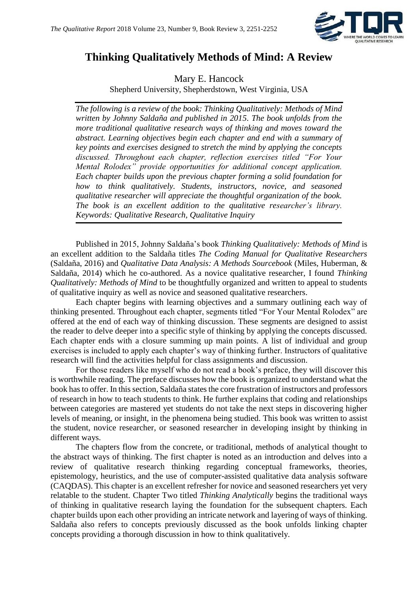

## **Thinking Qualitatively Methods of Mind: A Review**

Mary E. Hancock

Shepherd University, Shepherdstown, West Virginia, USA

*The following is a review of the book: Thinking Qualitatively: Methods of Mind written by Johnny Saldaña and published in 2015. The book unfolds from the more traditional qualitative research ways of thinking and moves toward the abstract. Learning objectives begin each chapter and end with a summary of key points and exercises designed to stretch the mind by applying the concepts discussed. Throughout each chapter, reflection exercises titled "For Your Mental Rolodex" provide opportunities for additional concept application. Each chapter builds upon the previous chapter forming a solid foundation for how to think qualitatively. Students, instructors, novice, and seasoned qualitative researcher will appreciate the thoughtful organization of the book. The book is an excellent addition to the qualitative researcher's library. Keywords: Qualitative Research, Qualitative Inquiry*

Published in 2015, Johnny Saldaña's book *Thinking Qualitatively: Methods of Mind* is an excellent addition to the Saldaña titles *The Coding Manual for Qualitative Researchers* (Saldaña, 2016) and *Qualitative Data Analysis: A Methods Sourcebook* (Miles, Huberman, & Saldaña, 2014) which he co-authored. As a novice qualitative researcher, I found *Thinking Qualitatively: Methods of Mind* to be thoughtfully organized and written to appeal to students of qualitative inquiry as well as novice and seasoned qualitative researchers.

Each chapter begins with learning objectives and a summary outlining each way of thinking presented. Throughout each chapter, segments titled "For Your Mental Rolodex" are offered at the end of each way of thinking discussion. These segments are designed to assist the reader to delve deeper into a specific style of thinking by applying the concepts discussed. Each chapter ends with a closure summing up main points. A list of individual and group exercises is included to apply each chapter's way of thinking further. Instructors of qualitative research will find the activities helpful for class assignments and discussion.

For those readers like myself who do not read a book's preface, they will discover this is worthwhile reading. The preface discusses how the book is organized to understand what the book has to offer. In this section, Saldaña states the core frustration of instructors and professors of research in how to teach students to think. He further explains that coding and relationships between categories are mastered yet students do not take the next steps in discovering higher levels of meaning, or insight, in the phenomena being studied. This book was written to assist the student, novice researcher, or seasoned researcher in developing insight by thinking in different ways.

The chapters flow from the concrete, or traditional, methods of analytical thought to the abstract ways of thinking. The first chapter is noted as an introduction and delves into a review of qualitative research thinking regarding conceptual frameworks, theories, epistemology, heuristics, and the use of computer-assisted qualitative data analysis software (CAQDAS). This chapter is an excellent refresher for novice and seasoned researchers yet very relatable to the student. Chapter Two titled *Thinking Analytically* begins the traditional ways of thinking in qualitative research laying the foundation for the subsequent chapters. Each chapter builds upon each other providing an intricate network and layering of ways of thinking. Saldaña also refers to concepts previously discussed as the book unfolds linking chapter concepts providing a thorough discussion in how to think qualitatively.